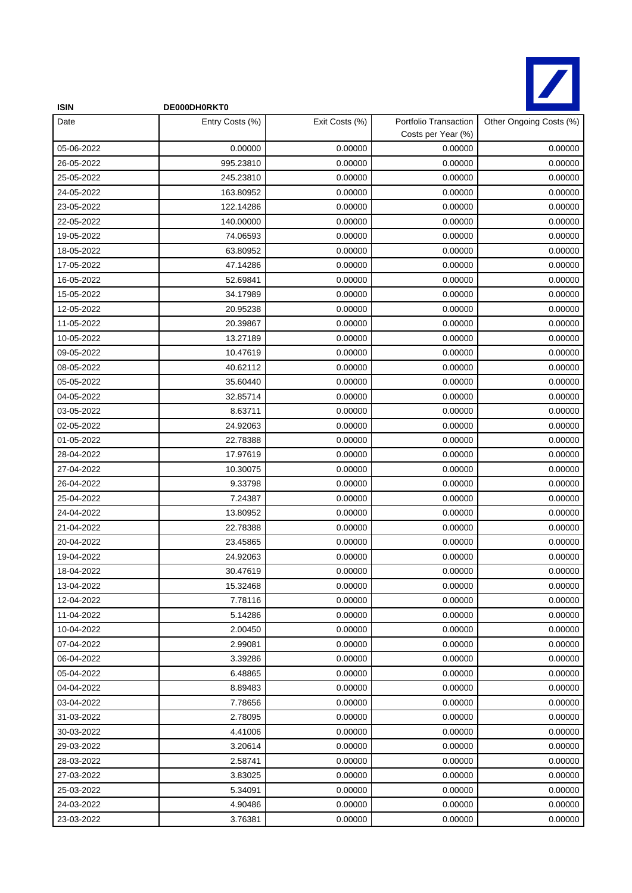

| <b>ISIN</b> | DE000DH0RKT0    |                |                                             |                         |
|-------------|-----------------|----------------|---------------------------------------------|-------------------------|
| Date        | Entry Costs (%) | Exit Costs (%) | Portfolio Transaction<br>Costs per Year (%) | Other Ongoing Costs (%) |
| 05-06-2022  | 0.00000         | 0.00000        | 0.00000                                     | 0.00000                 |
| 26-05-2022  | 995.23810       | 0.00000        | 0.00000                                     | 0.00000                 |
| 25-05-2022  | 245.23810       | 0.00000        | 0.00000                                     | 0.00000                 |
| 24-05-2022  | 163.80952       | 0.00000        | 0.00000                                     | 0.00000                 |
| 23-05-2022  | 122.14286       | 0.00000        | 0.00000                                     | 0.00000                 |
| 22-05-2022  | 140.00000       | 0.00000        | 0.00000                                     | 0.00000                 |
| 19-05-2022  | 74.06593        | 0.00000        | 0.00000                                     | 0.00000                 |
| 18-05-2022  | 63.80952        | 0.00000        | 0.00000                                     | 0.00000                 |
| 17-05-2022  | 47.14286        | 0.00000        | 0.00000                                     | 0.00000                 |
| 16-05-2022  | 52.69841        | 0.00000        | 0.00000                                     | 0.00000                 |
| 15-05-2022  | 34.17989        | 0.00000        | 0.00000                                     | 0.00000                 |
| 12-05-2022  | 20.95238        | 0.00000        | 0.00000                                     | 0.00000                 |
| 11-05-2022  | 20.39867        | 0.00000        | 0.00000                                     | 0.00000                 |
| 10-05-2022  | 13.27189        | 0.00000        | 0.00000                                     | 0.00000                 |
| 09-05-2022  | 10.47619        | 0.00000        | 0.00000                                     | 0.00000                 |
| 08-05-2022  | 40.62112        | 0.00000        | 0.00000                                     | 0.00000                 |
| 05-05-2022  | 35.60440        | 0.00000        | 0.00000                                     | 0.00000                 |
| 04-05-2022  | 32.85714        | 0.00000        | 0.00000                                     | 0.00000                 |
| 03-05-2022  | 8.63711         | 0.00000        | 0.00000                                     | 0.00000                 |
| 02-05-2022  | 24.92063        | 0.00000        | 0.00000                                     | 0.00000                 |
| 01-05-2022  | 22.78388        | 0.00000        | 0.00000                                     | 0.00000                 |
| 28-04-2022  | 17.97619        | 0.00000        | 0.00000                                     | 0.00000                 |
| 27-04-2022  | 10.30075        | 0.00000        | 0.00000                                     | 0.00000                 |
| 26-04-2022  | 9.33798         | 0.00000        | 0.00000                                     | 0.00000                 |
| 25-04-2022  | 7.24387         | 0.00000        | 0.00000                                     | 0.00000                 |
| 24-04-2022  | 13.80952        | 0.00000        | 0.00000                                     | 0.00000                 |
| 21-04-2022  | 22.78388        | 0.00000        | 0.00000                                     | 0.00000                 |
| 20-04-2022  | 23.45865        | 0.00000        | 0.00000                                     | 0.00000                 |
| 19-04-2022  | 24.92063        | 0.00000        | 0.00000                                     | 0.00000                 |
| 18-04-2022  | 30.47619        | 0.00000        | 0.00000                                     | 0.00000                 |
| 13-04-2022  | 15.32468        | 0.00000        | 0.00000                                     | 0.00000                 |
| 12-04-2022  | 7.78116         | 0.00000        | 0.00000                                     | 0.00000                 |
| 11-04-2022  | 5.14286         | 0.00000        | 0.00000                                     | 0.00000                 |
| 10-04-2022  | 2.00450         | 0.00000        | 0.00000                                     | 0.00000                 |
| 07-04-2022  | 2.99081         | 0.00000        | 0.00000                                     | 0.00000                 |
| 06-04-2022  | 3.39286         | 0.00000        | 0.00000                                     | 0.00000                 |
| 05-04-2022  | 6.48865         | 0.00000        | 0.00000                                     | 0.00000                 |
| 04-04-2022  | 8.89483         | 0.00000        | 0.00000                                     | 0.00000                 |
| 03-04-2022  | 7.78656         | 0.00000        | 0.00000                                     | 0.00000                 |
| 31-03-2022  | 2.78095         | 0.00000        | 0.00000                                     | 0.00000                 |
| 30-03-2022  | 4.41006         | 0.00000        | 0.00000                                     | 0.00000                 |
| 29-03-2022  | 3.20614         | 0.00000        | 0.00000                                     | 0.00000                 |
| 28-03-2022  | 2.58741         | 0.00000        | 0.00000                                     | 0.00000                 |
| 27-03-2022  | 3.83025         | 0.00000        | 0.00000                                     | 0.00000                 |
| 25-03-2022  | 5.34091         | 0.00000        | 0.00000                                     | 0.00000                 |
| 24-03-2022  | 4.90486         | 0.00000        | 0.00000                                     | 0.00000                 |
| 23-03-2022  | 3.76381         | 0.00000        | 0.00000                                     | 0.00000                 |